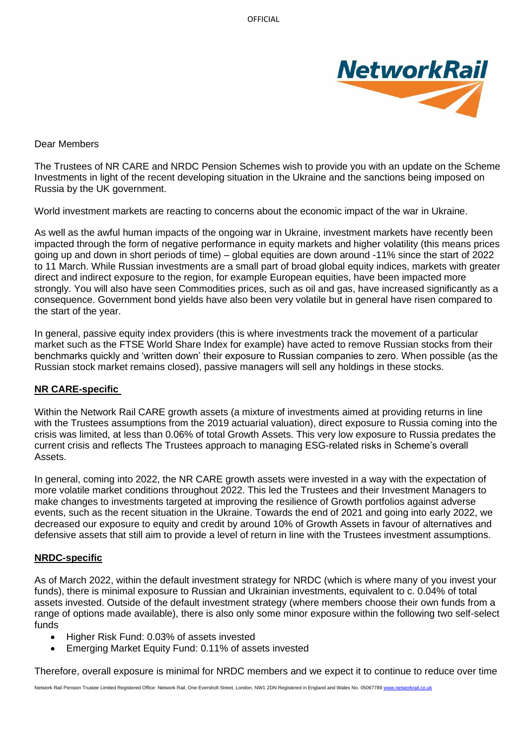

## Dear Members

The Trustees of NR CARE and NRDC Pension Schemes wish to provide you with an update on the Scheme Investments in light of the recent developing situation in the Ukraine and the sanctions being imposed on Russia by the UK government.

World investment markets are reacting to concerns about the economic impact of the war in Ukraine.

As well as the awful human impacts of the ongoing war in Ukraine, investment markets have recently been impacted through the form of negative performance in equity markets and higher volatility (this means prices going up and down in short periods of time) – global equities are down around -11% since the start of 2022 to 11 March. While Russian investments are a small part of broad global equity indices, markets with greater direct and indirect exposure to the region, for example European equities, have been impacted more strongly. You will also have seen Commodities prices, such as oil and gas, have increased significantly as a consequence. Government bond yields have also been very volatile but in general have risen compared to the start of the year.

In general, passive equity index providers (this is where investments track the movement of a particular market such as the FTSE World Share Index for example) have acted to remove Russian stocks from their benchmarks quickly and 'written down' their exposure to Russian companies to zero. When possible (as the Russian stock market remains closed), passive managers will sell any holdings in these stocks.

## **NR CARE-specific**

Within the Network Rail CARE growth assets (a mixture of investments aimed at providing returns in line with the Trustees assumptions from the 2019 actuarial valuation), direct exposure to Russia coming into the crisis was limited, at less than 0.06% of total Growth Assets. This very low exposure to Russia predates the current crisis and reflects The Trustees approach to managing ESG-related risks in Scheme's overall Assets.

In general, coming into 2022, the NR CARE growth assets were invested in a way with the expectation of more volatile market conditions throughout 2022. This led the Trustees and their Investment Managers to make changes to investments targeted at improving the resilience of Growth portfolios against adverse events, such as the recent situation in the Ukraine. Towards the end of 2021 and going into early 2022, we decreased our exposure to equity and credit by around 10% of Growth Assets in favour of alternatives and defensive assets that still aim to provide a level of return in line with the Trustees investment assumptions.

## **NRDC-specific**

As of March 2022, within the default investment strategy for NRDC (which is where many of you invest your funds), there is minimal exposure to Russian and Ukrainian investments, equivalent to c. 0.04% of total assets invested. Outside of the default investment strategy (where members choose their own funds from a range of options made available), there is also only some minor exposure within the following two self-select funds

- Higher Risk Fund: 0.03% of assets invested
- Emerging Market Equity Fund: 0.11% of assets invested

Therefore, overall exposure is minimal for NRDC members and we expect it to continue to reduce over time